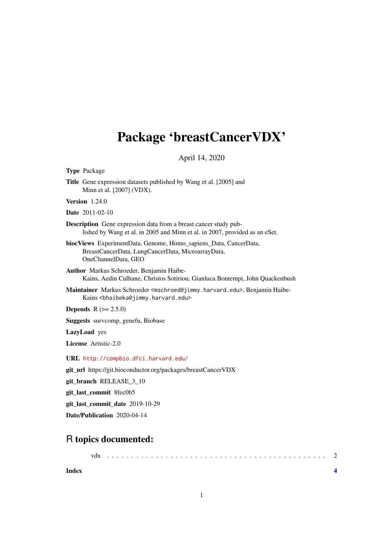## Package 'breastCancerVDX'

April 14, 2020

Type Package

Title Gene expression datasets published by Wang et al. [2005] and Minn et al. [2007] (VDX).

Version 1.24.0

Date 2011-02-10

Description Gene expression data from a breast cancer study published by Wang et al. in 2005 and Minn et al. in 2007, provided as an eSet.

biocViews ExperimentData, Genome, Homo\_sapiens\_Data, CancerData, BreastCancerData, LungCancerData, MicroarrayData, OneChannelData, GEO

Author Markus Schroeder, Benjamin Haibe-Kains, Aedin Culhane, Christos Sotiriou, Gianluca Bontempi, John Quackenbush

Maintainer Markus Schroeder <mschroed@jimmy.harvard.edu>, Benjamin Haibe-Kains <bhaibeka@jimmy.harvard.edu>

**Depends**  $R (= 2.5.0)$ 

Suggests survcomp, genefu, Biobase

LazyLoad yes

License Artistic-2.0

URL <http://compbio.dfci.harvard.edu/>

git\_url https://git.bioconductor.org/packages/breastCancerVDX

git\_branch RELEASE\_3\_10

git\_last\_commit 8fec0b5

git\_last\_commit\_date 2019-10-29

Date/Publication 2020-04-14

### R topics documented:

| vdx |  |  |  |  |  |  |  |  |  |  |  |  |  |  |  |  |  |  |  |  |  |  |  |
|-----|--|--|--|--|--|--|--|--|--|--|--|--|--|--|--|--|--|--|--|--|--|--|--|
|     |  |  |  |  |  |  |  |  |  |  |  |  |  |  |  |  |  |  |  |  |  |  |  |

**Index** [4](#page-3-0)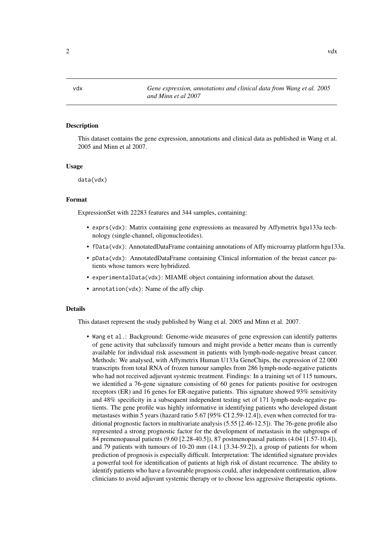<span id="page-1-0"></span>

#### Description

This dataset contains the gene expression, annotations and clinical data as published in Wang et al. 2005 and Minn et al 2007.

#### Usage

data(vdx)

#### Format

ExpressionSet with 22283 features and 344 samples, containing:

- exprs(vdx): Matrix containing gene expressions as measured by Affymetrix hgu133a technology (single-channel, oligonucleotides).
- fData(vdx): AnnotatedDataFrame containing annotations of Affy microarray platform hgu133a.
- pData(vdx): AnnotatedDataFrame containing Clinical information of the breast cancer patients whose tumors were hybridized.
- experimentalData(vdx): MIAME object containing information about the dataset.
- annotation(vdx): Name of the affy chip.

#### Details

This dataset represent the study published by Wang et al. 2005 and Minn et al. 2007.

• Wang et al.: Background: Genome-wide measures of gene expression can identify patterns of gene activity that subclassify tumours and might provide a better means than is currently available for individual risk assessment in patients with lymph-node-negative breast cancer. Methods: We analysed, with Affymetrix Human U133a GeneChips, the expression of 22 000 transcripts from total RNA of frozen tumour samples from 286 lymph-node-negative patients who had not received adjuvant systemic treatment. Findings: In a training set of 115 tumours, we identified a 76-gene signature consisting of 60 genes for patients positive for oestrogen receptors (ER) and 16 genes for ER-negative patients. This signature showed 93% sensitivity and 48% specificity in a subsequent independent testing set of 171 lymph-node-negative patients. The gene profile was highly informative in identifying patients who developed distant metastases within 5 years (hazard ratio 5.67 [95% CI 2.59-12.4]), even when corrected for traditional prognostic factors in multivariate analysis (5.55 [2.46-12.5]). The 76-gene profile also represented a strong prognostic factor for the development of metastasis in the subgroups of 84 premenopausal patients (9.60 [2.28-40.5]), 87 postmenopausal patients (4.04 [1.57-10.4]), and 79 patients with tumours of 10-20 mm (14.1 [3.34-59.2]), a group of patients for whom prediction of prognosis is especially difficult. Interpretation: The identified signature provides a powerful tool for identification of patients at high risk of distant recurrence. The ability to identify patients who have a favourable prognosis could, after independent confirmation, allow clinicians to avoid adjuvant systemic therapy or to choose less aggressive therapeutic options.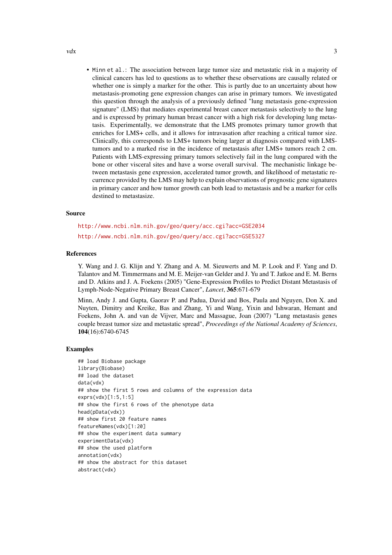• Minn et al.: The association between large tumor size and metastatic risk in a majority of clinical cancers has led to questions as to whether these observations are causally related or whether one is simply a marker for the other. This is partly due to an uncertainty about how metastasis-promoting gene expression changes can arise in primary tumors. We investigated this question through the analysis of a previously defined "lung metastasis gene-expression signature" (LMS) that mediates experimental breast cancer metastasis selectively to the lung and is expressed by primary human breast cancer with a high risk for developing lung metastasis. Experimentally, we demonstrate that the LMS promotes primary tumor growth that enriches for LMS+ cells, and it allows for intravasation after reaching a critical tumor size. Clinically, this corresponds to LMS+ tumors being larger at diagnosis compared with LMStumors and to a marked rise in the incidence of metastasis after LMS+ tumors reach 2 cm. Patients with LMS-expressing primary tumors selectively fail in the lung compared with the bone or other visceral sites and have a worse overall survival. The mechanistic linkage between metastasis gene expression, accelerated tumor growth, and likelihood of metastatic recurrence provided by the LMS may help to explain observations of prognostic gene signatures in primary cancer and how tumor growth can both lead to metastasis and be a marker for cells destined to metastasize.

#### Source

<http://www.ncbi.nlm.nih.gov/geo/query/acc.cgi?acc=GSE2034> <http://www.ncbi.nlm.nih.gov/geo/query/acc.cgi?acc=GSE5327>

#### References

Y. Wang and J. G. Klijn and Y. Zhang and A. M. Sieuwerts and M. P. Look and F. Yang and D. Talantov and M. Timmermans and M. E. Meijer-van Gelder and J. Yu and T. Jatkoe and E. M. Berns and D. Atkins and J. A. Foekens (2005) "Gene-Expression Profiles to Predict Distant Metastasis of Lymph-Node-Negative Primary Breast Cancer", *Lancet*, 365:671-679

Minn, Andy J. and Gupta, Gaorav P. and Padua, David and Bos, Paula and Nguyen, Don X. and Nuyten, Dimitry and Kreike, Bas and Zhang, Yi and Wang, Yixin and Ishwaran, Hemant and Foekens, John A. and van de Vijver, Marc and Massague, Joan (2007) "Lung metastasis genes couple breast tumor size and metastatic spread", *Proceedings of the National Academy of Sciences*, 104(16):6740-6745

#### Examples

## load Biobase package library(Biobase) ## load the dataset data(vdx) ## show the first 5 rows and columns of the expression data exprs(vdx)[1:5,1:5] ## show the first 6 rows of the phenotype data head(pData(vdx)) ## show first 20 feature names featureNames(vdx)[1:20] ## show the experiment data summary experimentData(vdx) ## show the used platform annotation(vdx) ## show the abstract for this dataset abstract(vdx)

 $vdx$  3